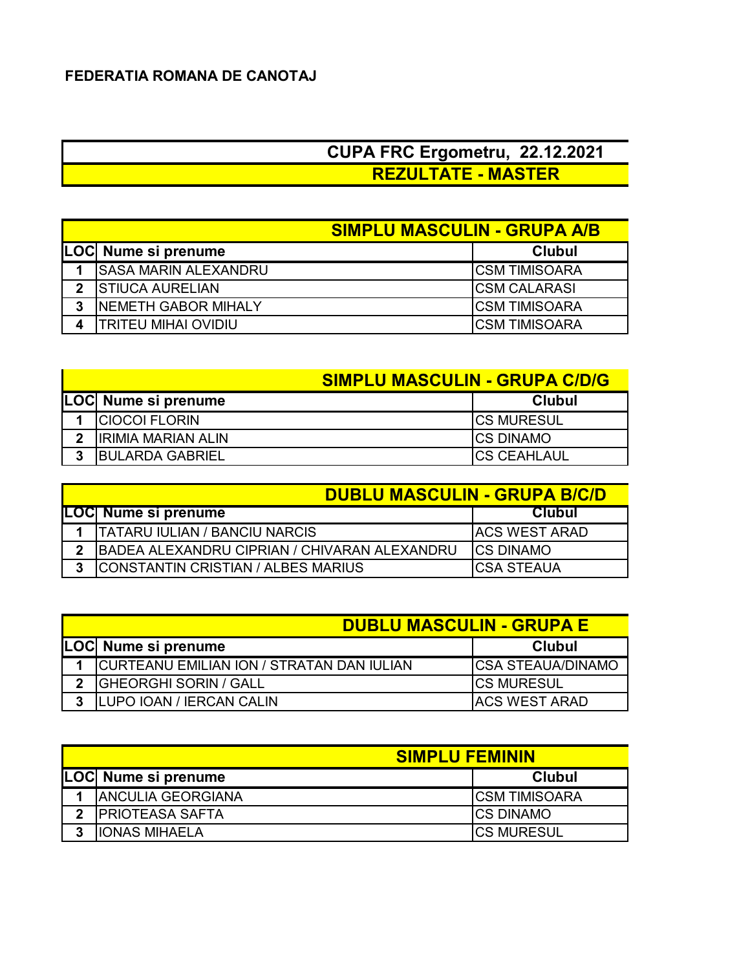## **CUPA FRC Ergometru, 22.12.2021 REZULTATE - MASTER**

|              |                              | <b>SIMPLU MASCULIN - GRUPA A/B</b> |  |  |
|--------------|------------------------------|------------------------------------|--|--|
|              | LOC Nume si prenume          | <b>Clubul</b>                      |  |  |
|              | <b>ISASA MARIN ALEXANDRU</b> | <b>CSM TIMISOARA</b>               |  |  |
| $\mathbf{v}$ | <b>ISTIUCA AURELIAN</b>      | <b>ICSM CALARASI</b>               |  |  |
| 3            | <b>INEMETH GABOR MIHALY</b>  | ICSM TIMISOARA                     |  |  |
|              | TRITEU MIHAI OVIDIU          | ICSM TIMISOARA                     |  |  |

|   |                           | <b>SIMPLU MASCULIN - GRUPA C/D/G</b> |  |  |
|---|---------------------------|--------------------------------------|--|--|
|   | LOC Nume si prenume       | <b>Clubul</b>                        |  |  |
|   | <b>CIOCOI FLORIN</b>      | <b>ICS MURESUL</b>                   |  |  |
| 2 | <b>IRIMIA MARIAN ALIN</b> | <b>ICS DINAMO</b>                    |  |  |
| ર | <b>IBULARDA GABRIEL</b>   | <b>CS CEAHLAUL</b>                   |  |  |

| <b>DUBLU MASCULIN - GRUPA B/C/D</b>          |                       |  |
|----------------------------------------------|-----------------------|--|
| LOC  Nume si prenume                         | <b>Clubul</b>         |  |
| <b>ITATARU IULIAN / BANCIU NARCIS</b>        | <b>IACS WEST ARAD</b> |  |
| BADEA ALEXANDRU CIPRIAN / CHIVARAN ALEXANDRU | <b>ICS DINAMO</b>     |  |
| CONSTANTIN CRISTIAN / ALBES MARIUS           | <b>ICSA STEAUA</b>    |  |

|     | <b>DUBLU MASCULIN - GRUPA E</b>                  |                           |  |  |
|-----|--------------------------------------------------|---------------------------|--|--|
|     | LOC Nume si prenume                              | <b>Clubul</b>             |  |  |
|     | <b>CURTEANU EMILIAN ION / STRATAN DAN IULIAN</b> | <b>ICSA STEAUA/DINAMO</b> |  |  |
| າ   | GHEORGHI SORIN / GALL                            | <b>ICS MURESUL</b>        |  |  |
| - 2 | LUPO IOAN / IERCAN CALIN                         | <b>IACS WEST ARAD</b>     |  |  |

|   |                           | <b>SIMPLU FEMININ</b> |  |  |
|---|---------------------------|-----------------------|--|--|
|   | LOC Nume si prenume       | <b>Clubul</b>         |  |  |
|   | <b>IANCULIA GEORGIANA</b> | <b>ICSM TIMISOARA</b> |  |  |
| າ | <b>IPRIOTEASA SAFTA</b>   | <b>ICS DINAMO</b>     |  |  |
| 2 | IIONAS MIHAELA            | <b>ICS MURESUL</b>    |  |  |